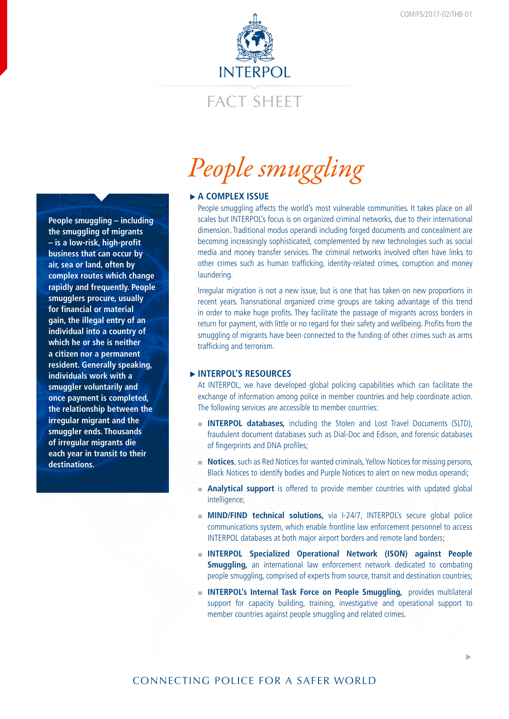

## FACT SHEFT

**People smuggling – including the smuggling of migrants – is a low-risk, high-profit business that can occur by air, sea or land, often by complex routes which change rapidly and frequently. People smugglers procure, usually for financial or material gain, the illegal entry of an individual into a country of which he or she is neither a citizen nor a permanent resident. Generally speaking, individuals work with a smuggler voluntarily and once payment is completed, the relationship between the irregular migrant and the smuggler ends. Thousands of irregular migrants die each year in transit to their destinations.** 

# *People smuggling*

### **► A COMPLEX ISSUE**

People smuggling affects the world's most vulnerable communities. It takes place on all scales but INTERPOL's focus is on organized criminal networks, due to their international dimension. Traditional modus operandi including forged documents and concealment are becoming increasingly sophisticated, complemented by new technologies such as social media and money transfer services. The criminal networks involved often have links to other crimes such as human trafficking, identity-related crimes, corruption and money laundering.

Irregular migration is not a new issue, but is one that has taken on new proportions in recent years. Transnational organized crime groups are taking advantage of this trend in order to make huge profits. They facilitate the passage of migrants across borders in return for payment, with little or no regard for their safety and wellbeing. Profits from the smuggling of migrants have been connected to the funding of other crimes such as arms trafficking and terrorism.

### f**INTERPOL'S RESOURCES**

At INTERPOL, we have developed global policing capabilities which can facilitate the exchange of information among police in member countries and help coordinate action. The following services are accessible to member countries:

- **INTERPOL databases,** including the Stolen and Lost Travel Documents (SLTD), fraudulent document databases such as Dial-Doc and Edison, and forensic databases of fingerprints and DNA profiles;
- **Notices**, such as Red Notices for wanted criminals, Yellow Notices for missing persons, Black Notices to identify bodies and Purple Notices to alert on new modus operandi;
- **Analytical support** is offered to provide member countries with updated global intelligence;
- **MIND/FIND technical solutions,** via I-24/7, INTERPOL's secure global police communications system, which enable frontline law enforcement personnel to access INTERPOL databases at both major airport borders and remote land borders;
- **INTERPOL Specialized Operational Network (ISON) against People Smuggling,** an international law enforcement network dedicated to combating people smuggling, comprised of experts from source, transit and destination countries;
- **INTERPOL's Internal Task Force on People Smuggling, provides multilateral** support for capacity building, training, investigative and operational support to member countries against people smuggling and related crimes.

�